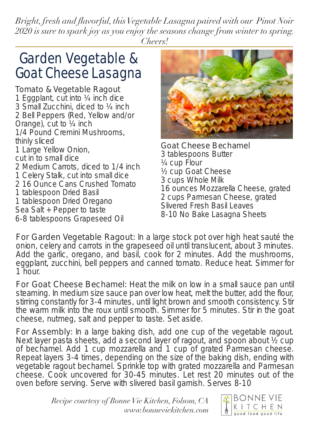*Bright, fresh and flavorful, this Vegetable Lasagna paired with our Pinot Noir 2020 is sure to spark joy as you enjoy the seasons change from winter to spring. Cheers!*

## Garden Vegetable & Goat Cheese Lasagna

#### Tomato & Vegetable Ragout

1 Eggplant, cut into ¼ inch dice 3 Small Zucchini, diced to ¼ inch 2 Bell Peppers (Red, Yellow and/or Orange), cut to ¼ inch 1/4 Pound Cremini Mushrooms,<br>thinly sliced 1 Large Yellow Onion,<br>
cut in to small dice<br>
2 Medium Carrots, diced to 1/4 inch<br>
1 Celery Stalk, cut into small dice<br>
2 16 Ounce Cans Crushed Tomato<br>
1 tablespoon Dried Basil<br>
1 tablespoon Dried Oregano<br>
Sea Salt + Pepper



For Garden Vegetable Ragout: In a large stock pot over high heat sauté the onion, celery and carrots in the grapeseed oil until translucent, about 3 minutes. Add the garlic, oregano, and basil, cook for 2 minutes. Add the mushrooms, eggplant, zucchini, bell peppers and canned tomato. Reduce heat. Simmer for 1 hour.

For Goat Cheese Bechamel: Heat the milk on low in a small sauce pan until steaming. In medium size sauce pan over low heat, melt the butter, add the flour, stirring constantly for 3-4 minutes, until light brown and smooth consistency. Stir the warm milk into the roux until smooth. Simmer for 5 minutes. Stir in the goat cheese, nutmeg, salt and pepper to taste. Set aside.

For Assembly: In a large baking dish, add one cup of the vegetable ragout. Next layer pasta sheets, add a second layer of ragout, and spoon about ½ cup of bechamel. Add 1 cup mozzarella and 1 cup of grated Parmesan cheese. Repeat layers 3-4 times, depending on the size of the baking dish, ending with vegetable ragout bechamel. Sprinkle top with grated mozzarella and Parmesan cheese. Cook uncovered for 30-45 minutes. Let rest 20 minutes out of the oven before serving. Serve with slivered basil garnish. Serves 8-10

> *Recipe courtesy of Bonne Vie Kitchen, Folsom, CA <www.bonneviekitchen.com>*